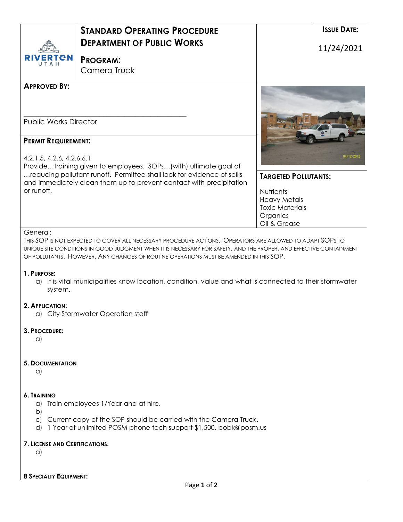|                                                         | <b>STANDARD OPERATING PROCEDURE</b>                                                                                                                                                                                                                                                                                       |                                                                                        | <b>ISSUE DATE:</b> |
|---------------------------------------------------------|---------------------------------------------------------------------------------------------------------------------------------------------------------------------------------------------------------------------------------------------------------------------------------------------------------------------------|----------------------------------------------------------------------------------------|--------------------|
|                                                         | <b>DEPARTMENT OF PUBLIC WORKS</b>                                                                                                                                                                                                                                                                                         |                                                                                        | 11/24/2021         |
| ERTEN                                                   | <b>PROGRAM:</b><br>Camera Truck                                                                                                                                                                                                                                                                                           |                                                                                        |                    |
|                                                         |                                                                                                                                                                                                                                                                                                                           |                                                                                        |                    |
| <b>APPROVED BY:</b>                                     |                                                                                                                                                                                                                                                                                                                           |                                                                                        |                    |
| <b>Public Works Director</b>                            |                                                                                                                                                                                                                                                                                                                           |                                                                                        |                    |
| <b>PERMIT REQUIREMENT:</b><br>4.2.1.5, 4.2.6, 4.2.6.6.1 | Providetraining given to employees. SOPs(with) ultimate goal of                                                                                                                                                                                                                                                           |                                                                                        |                    |
|                                                         | reducing pollutant runoff. Permittee shall look for evidence of spills<br>and immediately clean them up to prevent contact with precipitation                                                                                                                                                                             | <b>TARGETED POLLUTANTS:</b>                                                            |                    |
| or runoff.                                              |                                                                                                                                                                                                                                                                                                                           | Nutrients<br><b>Heavy Metals</b><br><b>Toxic Materials</b><br>Organics<br>Oil & Grease |                    |
| General:                                                | THIS SOP IS NOT EXPECTED TO COVER ALL NECESSARY PROCEDURE ACTIONS. OPERATORS ARE ALLOWED TO ADAPT SOPS TO<br>UNIQUE SITE CONDITIONS IN GOOD JUDGMENT WHEN IT IS NECESSARY FOR SAFETY, AND THE PROPER, AND EFFECTIVE CONTAINMENT<br>OF POLLUTANTS. HOWEVER, ANY CHANGES OF ROUTINE OPERATIONS MUST BE AMENDED IN THIS SOP. |                                                                                        |                    |
| 1. PURPOSE:<br>system.                                  | a) It is vital municipalities know location, condition, value and what is connected to their stormwater                                                                                                                                                                                                                   |                                                                                        |                    |
| 2. APPLICATION:                                         | a) City Stormwater Operation staff                                                                                                                                                                                                                                                                                        |                                                                                        |                    |
| 3. PROCEDURE:<br>a)                                     |                                                                                                                                                                                                                                                                                                                           |                                                                                        |                    |
| <b>5. DOCUMENTATION</b><br>a)                           |                                                                                                                                                                                                                                                                                                                           |                                                                                        |                    |
| 6. TRAINING<br>a)<br>$\mathsf{b}$                       | Train employees 1/Year and at hire.                                                                                                                                                                                                                                                                                       |                                                                                        |                    |
| C)<br>d)                                                | Current copy of the SOP should be carried with the Camera Truck.<br>1 Year of unlimited POSM phone tech support \$1,500. bobk@posm.us                                                                                                                                                                                     |                                                                                        |                    |
| <b>7. LICENSE AND CERTIFICATIONS:</b><br>a)             |                                                                                                                                                                                                                                                                                                                           |                                                                                        |                    |
| <b>8 SPECIALTY EQUIPMENT:</b>                           |                                                                                                                                                                                                                                                                                                                           |                                                                                        |                    |